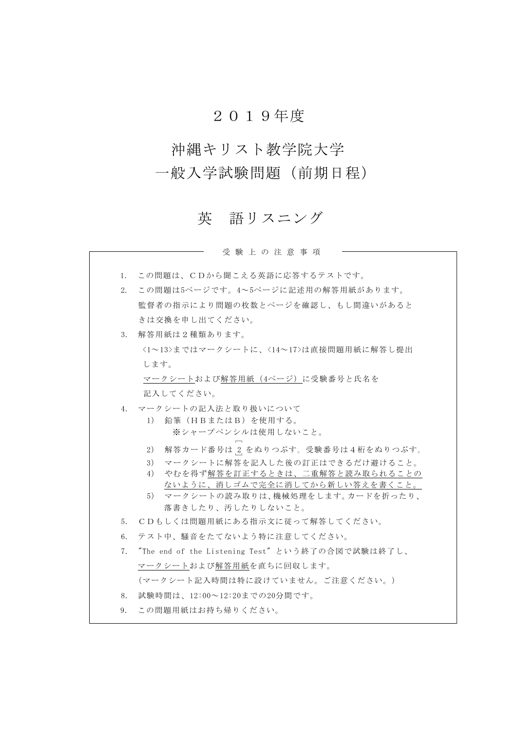# 2019年度

# 沖縄キリスト教学院大学

# 一般入学試験問題(前期日程)

# 英 語リスニング

受 験 上 の 注 意 事 項

| $1_{-}$                          | この問題は、CDから聞こえる英語に応答するテストです。                        |
|----------------------------------|----------------------------------------------------|
| 2.                               | この問題は5ページです。4~5ページに記述用の解答用紙があります。                  |
|                                  | 監督者の指示により問題の枚数とページを確認し、もし間違いがあると                   |
|                                  | きは交換を申し出てください。                                     |
| 3.                               | 解答用紙は2種類あります。                                      |
|                                  | <1~13>まではマークシートに、<14~17>は直接問題用紙に解答し提出              |
|                                  | します。                                               |
|                                  | マークシートおよび解答用紙(4ページ)に受験番号と氏名を                       |
|                                  | 記入してください。                                          |
| 4.                               | - マークシートの記入法と取り扱いについて                              |
|                                  | 1) 鉛筆(HBまたはB)を使用する。                                |
|                                  | ※シャープペンシルは使用しないこと。                                 |
|                                  | 2)                                                 |
|                                  | 解答カード番号は 2 をぬりつぶす。受験番号は4桁をぬりつぶす。                   |
|                                  | マークシートに解答を記入した後の訂正はできるだけ避けること。<br>3)               |
|                                  | やむを得ず解答を訂正するときは、二重解答と読み取られることの<br>4)               |
|                                  | ないように、消しゴムで完全に消してから新しい答えを書くこと。                     |
|                                  | 5) マークシートの読み取りは、機械処理をします。カードを折ったり、                 |
|                                  | 落書きしたり、汚したりしないこと。                                  |
| 5.                               | CDもしくは問題用紙にある指示文に従って解答してください。                      |
| 6.                               | テスト中、騒音をたてないよう特に注意してください。                          |
| $7_{\scriptscriptstyle{\ddots}}$ | - "The end of the Listening Test" という終了の合図で試験は終了し、 |
|                                  | マークシートおよび解答用紙を直ちに回収します。                            |
|                                  | (マークシート記入時間は特に設けていません。ご注意ください。)                    |
| 8.                               | 試験時間は、12:00~12:20までの20分間です。                        |
| 9.                               | この問題用紙はお持ち帰りください。                                  |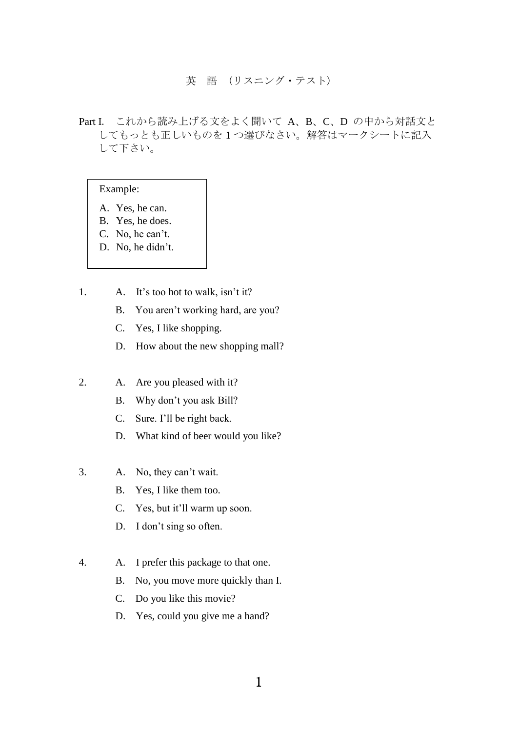#### 英 語 (リスニング・テスト)

Part I. これから読み上げる文をよく聞いて A、 B、 C、 D の中から対話文と してもっとも正しいものを 1 つ選びなさい。解答はマークシートに記入 して下さい。

#### Example:

- A. Yes, he can.
- B. Yes, he does.
- C. No, he can't.
- D. No, he didn't.
- 1. A. It's too hot to walk, isn't it?
	- B. You aren't working hard, are you?
	- C. Yes, I like shopping.
	- D. How about the new shopping mall?
- 2. A. Are you pleased with it?
	- B. Why don't you ask Bill?
	- C. Sure. I'll be right back.
	- D. What kind of beer would you like?
- 3. A. No, they can't wait.
	- B. Yes, I like them too.
	- C. Yes, but it'll warm up soon.
	- D. I don't sing so often.
- 4. A. I prefer this package to that one.
	- B. No, you move more quickly than I.
	- C. Do you like this movie?
	- D. Yes, could you give me a hand?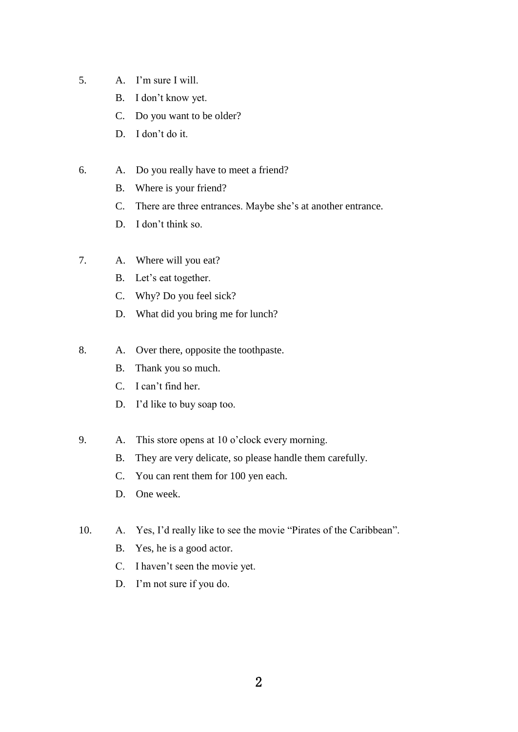- 5. A. I'm sure I will.
	- B. I don't know yet.
	- C. Do you want to be older?
	- D. I don't do it.
- 6. A. Do you really have to meet a friend?
	- B. Where is your friend?
	- C. There are three entrances. Maybe she's at another entrance.
	- D. I don't think so.
- 7. A. Where will you eat?
	- B. Let's eat together.
	- C. Why? Do you feel sick?
	- D. What did you bring me for lunch?
- 8. A. Over there, opposite the toothpaste.
	- B. Thank you so much.
	- C. I can't find her.
	- D. I'd like to buy soap too.
- 9. A. This store opens at 10 o'clock every morning.
	- B. They are very delicate, so please handle them carefully.
	- C. You can rent them for 100 yen each.
	- D. One week.
- 10. A. Yes, I'd really like to see the movie "Pirates of the Caribbean".
	- B. Yes, he is a good actor.
	- C. I haven't seen the movie yet.
	- D. I'm not sure if you do.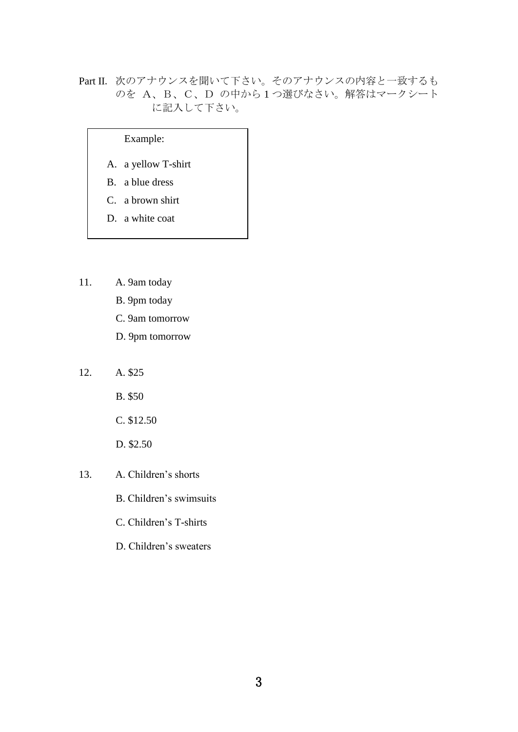## Part II. 次のアナウンスを聞いて下さい。そのアナウンスの内容と一致するも のを A、B、C、D の中から 1 つ選びなさい。解答はマークシート に記入して下さい。

### Example:

- A. a yellow T-shirt
- B. a blue dress
- C. a brown shirt
- D. a white coat
- 11. A. 9am today
	- B. 9pm today
	- C. 9am tomorrow
	- D. 9pm tomorrow
- 12. A. \$25
	- B. \$50
	- C. \$12.50
	- D. \$2.50
- 13. A. Children's shorts
	- B. Children's swimsuits
	- C. Children's T-shirts
	- D. Children's sweaters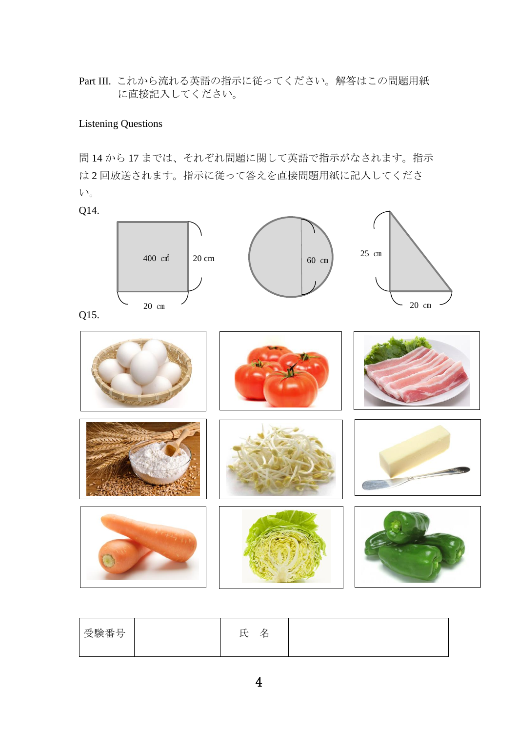Part III. これから流れる英語の指示に従ってください。解答はこの問題用紙 に直接記入してください。

## Listening Questions

問 14 から 17 までは、それぞれ問題に関して英語で指示がなされます。指示 は 2 回放送されます。指示に従って答えを直接問題用紙に記入してくださ い。

Q14.



| 受験番号 | 叿<br>≃<br>∽ |  |
|------|-------------|--|
|------|-------------|--|